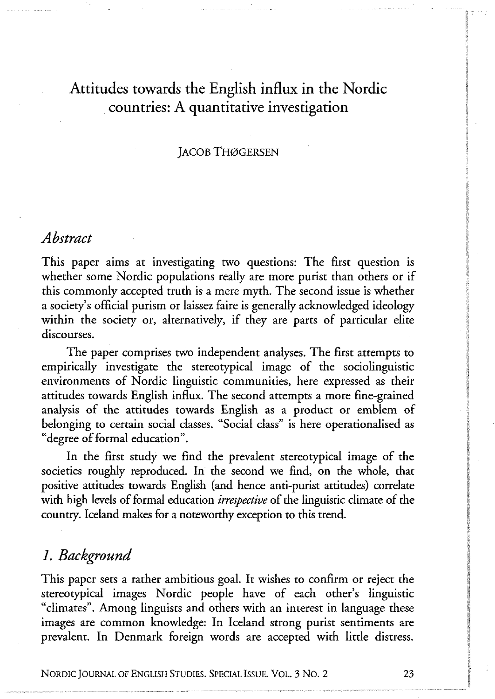# Attitudes towards the English influx in the Nordic countries: A quantitative investigation

## **JACOB THØGERSEN**

## *Abstract*

This paper aims at investigating two questions: The first question is whether some Nordic populations really are more purist than others or if this commonly accepted truth is a mere myth. The second issue is whether a society's official purism or laissez faire is generally acknowledged ideology within the society or, alternatively, if they are parts of particular elite discourses.

The paper comprises two independent analyses. The first attempts to empirically investigate the stereotypical image of the sociolinguistic environments of Nordic linguistic communities, here expressed as their attitudes towards English influx. The second attempts a more fine-grained analysis of the attitudes towards English as a product or emblem of belonging to certain social classes. "Social class" is here operationalised as "degree of formal education".

In the first study we find the prevalent stereotypical image of the societies roughly reproduced. In the second we find, on the whole, that positive attitudes towards English (and hence anti-purist attitudes) correlate with high levels of formal education *irrespective* of the linguistic climate of the country. Iceland makes for a noteworthy exception to this trend.

## *1. Background*

This paper sets a rather ambitious goal. It wishes to confirm or reject the stereotypical images Nordic people have of each other's linguistic "climates". Among linguists and others with an interest in language these images are common knowledge: In Iceland strong purist sentiments are prevalent. In Denmark foreign words are accepted with little distress.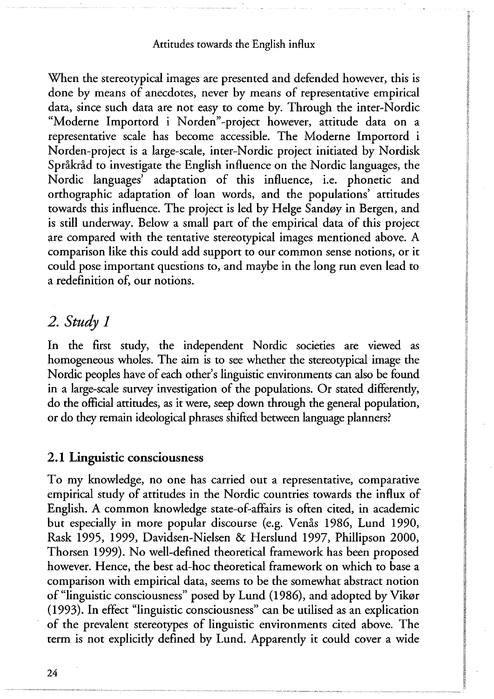When the stereotypical images are presented and defended however, this is done by means of anecdotes, never by means of representative empirical data, since such data are not easy to come by. Through the inter-Nordic "Moderne Importord i Norden"-project however, attitude data on a representative scale has become accessible. The Moderne Importord i Norden-project is a large-scale, inter-Nordic project initiated by Nordisk Språkråd to investigate the English influence on the Nordic languages, the Nordic languages' adaptation of this influence, i.e. phonetic and orthographic adaptation of loan words, and the populations' attitudes towards this influence. The project is led by Helge Sandøy in Bergen, and is still underway. Below a small part of the empirical data of this project are compared with the tentative stereotypical images mentioned above. A comparison like this could add support to our common sense notions, or it could pose important questions to, and maybe in the long run even lead to a redefinition of, our notions.

# *2. Study 1*

In the first study, the independent Nordic societies are viewed as homogeneous wholes. The aim is to see whether the stereotypical image the Nordic peoples have of each other's linguistic environments can also be found in a large-scale survey investigation of the populations. Or stated differendy, do the official attitudes, as it were, seep down through the general population, or do they remain ideological phrases shifted between language planners?

## **2 . 1 Linguistic consciousness**

To my knowledge, no one has carried out a representative, comparative empirical study of attitudes in the Nordic countries towards the influx of English. A common knowledge state-of-affairs is often cited, in academic but especially in more popular discourse (e.g. Venås 1986, Lund 1990, Rask 1995, 1999, Davidsen-Nielsen & Herslund 1997, Phillipson 2000, Thorsen 1999). No well-defined theoretical framework has been proposed however. Hence, the best ad-hoc theoretical framework on which to base a comparison with empirical data, seems to be the somewhat abstract notion of "linguistic consciousness" posed by Lund (1986), and adopted by Vikør (1993). In effect "linguistic consciousness" can be utilised as an explication of the prevalent stereotypes of linguistic environments cited above. The term is not explicitly defined by Lund. Apparently it could cover a wide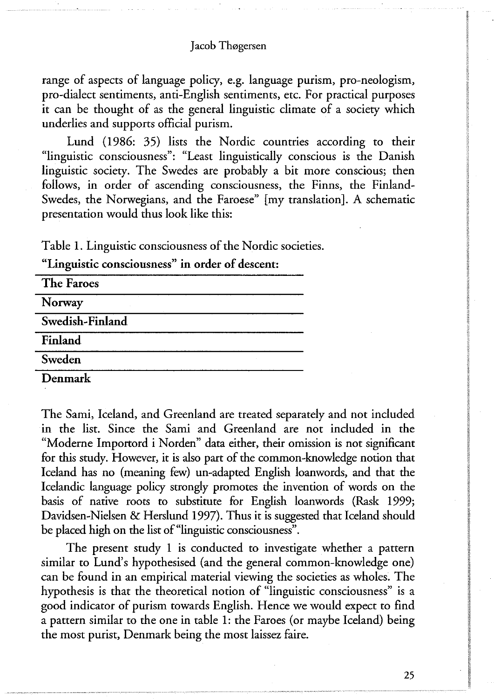range of aspects of language policy, e.g. language purism, pro-neologism, pro-dialect sentiments, anti-English sentiments, etc. For practical purposes it can be thought of as the general linguistic climate of a society which underlies and supports official purism.

Lund (1986: 35) lists the Nordic countries according to their "linguistic consciousness": "Least linguistically conscious is the Danish linguistic society. The Swedes are probably a bit more conscious; then follows, in order of ascending consciousness, the Finns, the Finland-Swedes, the Norwegians, and the Faroese" [my translation]. A schematic presentation would thus look like this:

Table 1. Linguistic consciousness of the Nordic societies.

**"Linguistic consciousness" in order of descent:** 

| The Faroes      |  |
|-----------------|--|
| Norway          |  |
| Swedish-Finland |  |
| Finland         |  |
| Sweden          |  |
| Denmark         |  |

The Sami, Iceland, and Greenland are treated separately and not included in the list. Since the Sami and Greenland are not included in the "Moderne Importord i Norden" data either, their omission is not significant for this study. However, it is also part of the common-knowledge notion that Iceland has no (meaning few) un-adapted English loanwords, and that the Icelandic language policy strongly promotes the invention of words on the basis of native roots to substitute for English loanwords (Rask 1999; Davidsen-Nielsen & Herslund 1997). Thus it is suggested that Iceland should be placed high on the list of "linguistic consciousness".

The present study 1 is conducted to investigate whether a pattern similar to Lund's hypothesised (and the general common-knowledge one) can be found in an empirical material viewing the societies as wholes. The hypothesis is that the theoretical notion of "linguistic consciousness" is a good indicator of purism towards English. Hence we would expect to find a pattern similar to the one in table 1: the Faroes (or maybe Iceland) being the most purist, Denmark being the most laissez faire.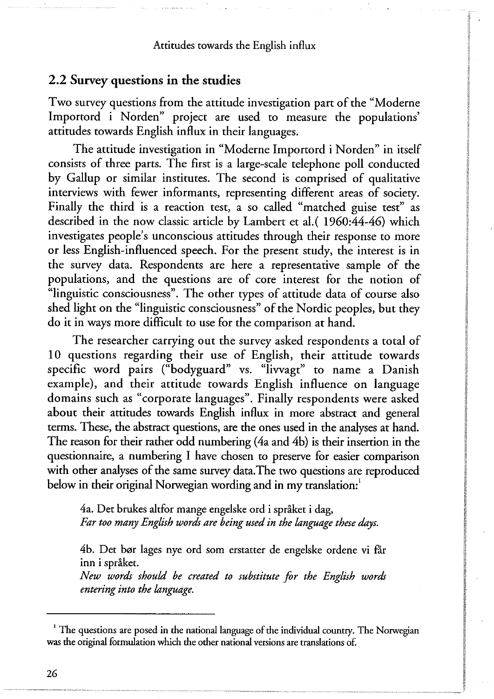## **2 . 2 Survey questions in the studies**

Two survey questions from the attitude investigation part of the "Moderne Importord i Norden" project are used to measure the populations' attitudes towards English influx in their languages.

The attitude investigation in "Moderne Importord i Norden" in itself consists of three parts. The first is a large-scale telephone poll conducted by Gallup or similar institutes. The second is comprised of qualitative interviews with fewer informants, representing different areas of society. Finally the third is a reaction test, a so called "matched guise test" as described in the now classic article by Lambert et al.( 1960:44-46) which investigates people's unconscious attitudes through their response to more or less English-influenced speech. For the present study, the interest is in the survey data. Respondents are here a representative sample of the populations, and the questions are of core interest for the notion of "linguistic consciousness". The other types of attitude data of course also shed light on the "linguistic consciousness" of the Nordic peoples, but they do it in ways more difficult to use for the comparison at hand.

The researcher carrying out the survey asked respondents a total of 10 questions regarding their use of English, their attitude towards specific word pairs ("bodyguard" vs. "livvagt" to name a Danish example), and their attitude towards English influence on language domains such as "corporate languages". Finally respondents were asked about their attitudes towards English influx in more abstract and general terms. These, the abstract questions, are the ones used in the analyses at hand. The reason for their rather odd numbering (4a and 4b) is their insertion in the questionnaire, a numbering I have chosen to preserve for easier comparison with other analyses of the same survey data. The two questions are reproduced below in their original Norwegian wording and in my translation:

4a. Det brukes altfor mange engelske ord i språket i dag, *Far too many English words are being used in the language these days.* 

4b. Det bør lages nye ord som erstatter de engelske ordene vi får inn i språket.

*New words should be created to substitute for the English words entering into the language.* 

**<sup>&#</sup>x27; The** questions are posed in the national language of the individual country. **The Norwegian**  was the original formulation which the other national versions are translations of.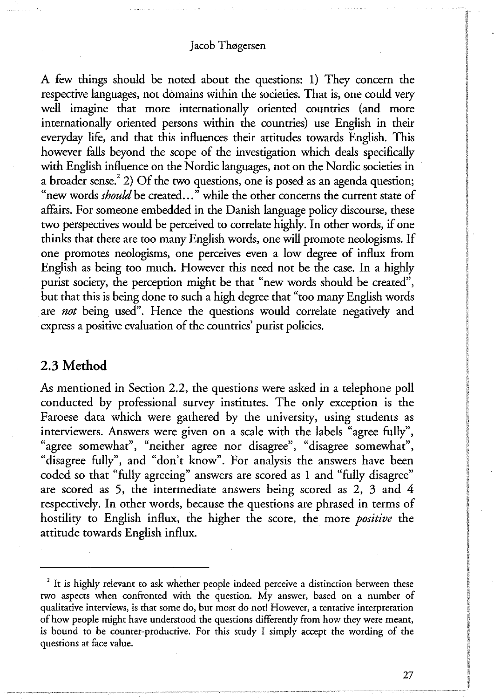A few things should be noted about the questions: 1) They concern the respective languages, not domains within the societies. That is, one could very well imagine that more internationally oriented countries (and more internationally oriented persons within the countries) use English in their everyday life, and that this influences their attitudes towards English. This however falls beyond the scope of the investigation which deals specifically with English influence on the Nordic languages, not on the Nordic societies in a broader sense.<sup>2</sup> 2) Of the two questions, one is posed as an agenda question; "new words *should* be created..." while the other concerns the current state of affairs. For someone embedded in the Danish language policy discourse, these two perspectives would be perceived to correlate highly. In other words, if one thinks that there are too many English words, one will promote neologisms. If one promotes neologisms, one perceives even a low degree of influx from English as being too much. However this need not be the case. In a highly purist society, the perception might be that "new words should be created", but that this is being done to such a high degree that "too many English words are *not* being used". Hence the questions would correlate negatively and express a positive evaluation of the countries' purist policies.

## **2 . 3 Metho d**

As mentioned in Section 2.2, the questions were asked in a telephone poll conducted by professional survey institutes. The only exception is the Faroese data which were gathered by the university, using students as interviewers. Answers were given on a scale with the labels "agree fully", "agree somewhat", "neither agree nor disagree", "disagree somewhat", "disagree fully", and "don't know". For analysis the answers have been coded so that "fully agreeing" answers are scored as 1 and "fully disagree" are scored as 5, the intermediate answers being scored as 2, 3 and 4 respectively. In other words, because the questions are phrased in terms of hostility to English influx, the higher the score, the more *positive* the attitude towards English influx.

**<sup>2</sup> It is highly relevant to ask whether people indeed perceive a distinction berween these two aspects when confronted with the question. My answer, based on a number of qualitative interviews, is that some do, but most do not! However, a tentative interpretation of how people might have understood the questions differently from how they were meant, is bound to be counter-productive. For this study I simply accept the wording of the questions at face value.**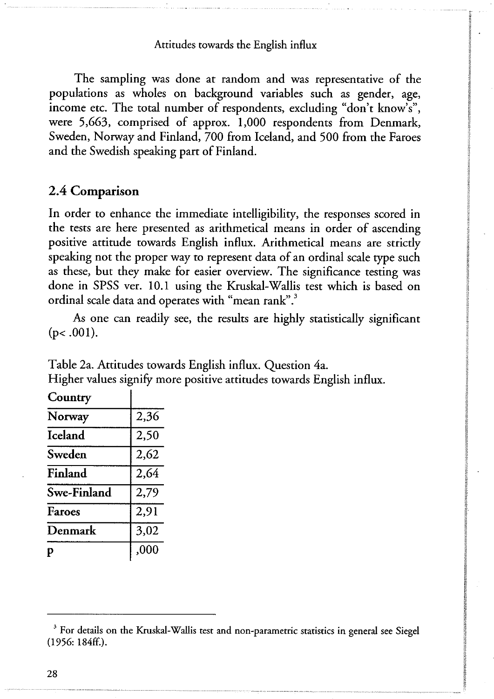The sampling was done at random and was representative of the populations as wholes on background variables such as gender, age, income etc. The total number of respondents, excluding "don't know's", were 5,663, comprised of approx. 1,000 respondents from Denmark, Sweden, Norway and Finland, 700 from Iceland, and 500 from the Faroes and the Swedish speaking part of Finland.

## **2 . 4 Comparison**

In order to enhance the immediate intelligibility, the responses scored in the tests are here presented as arithmetical means in order of ascending positive attitude towards English influx. Arithmetical means are strictly speaking not the proper way to represent data of an ordinal scale type such as these, but they make for easier overview. The significance testing was done in SPSS ver. 10.1 using the Kruskal-Wallis test which is based on ordinal scale data and operates with "mean rank".<sup>3</sup>

As one can readily see, the results are highly statistically significant  $(p<.001)$ .

Table 2a. Attitudes towards English influx. Question 4a. Higher values signify more positive attitudes towards English influx.

| Country        |      |
|----------------|------|
| Norway         | 2,36 |
| <b>Iceland</b> | 2,50 |
| Sweden         | 2,62 |
| Finland        | 2,64 |
| Swe-Finland    | 2,79 |
| Faroes         | 2,91 |
| Denmark        | 3,02 |
| p              | ,000 |
|                |      |

28

**<sup>3</sup> For details on the Kruskal-Wallis test and non-parametric statistics in general see Siegel (1956: 184ff.).**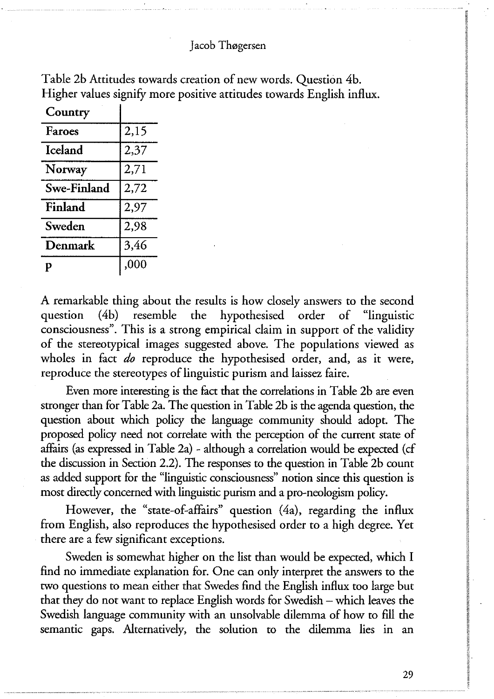| Country        |      |
|----------------|------|
| Faroes         | 2,15 |
| <b>Iceland</b> | 2,37 |
| Norway         | 2,71 |
| Swe-Finland    | 2,72 |
| Finland        | 2,97 |
| Sweden         | 2,98 |
| Denmark        | 3,46 |
| р              | ,000 |

Table 2b Attitudes towards creation of new words. Question 4b. Higher values signify more positive attitudes towards English influx.

A remarkable thing about the results is how closely answers to the second question (4b) resemble the hypothesised order of "linguistic consciousness". This is a strong empirical claim in support of the validity of the stereotypical images suggested above. The populations viewed as wholes in fact *do* reproduce the hypothesised order, and, as it were, reproduce the stereotypes of linguistic purism and laissez faire.

Even more interesting is the fact that the correlations in Table 2b are even stronger than for Table 2a. The question in Table 2b is the agenda question, the question about which policy the language community should adopt. The proposed policy need not correlate with the perception of the current state of affairs (as expressed in Table 2a) - although a correlation would be expected (cf the discussion in Section 2.2). The responses to the question in Table 2b count as added support for the "linguistic consciousness" notion since this question is most directly concerned with linguistic purism and a pro-neologism policy.

However, the "state-of-affairs" question (4a), regarding the influx from English, also reproduces the hypothesised order to a high degree. Yet there are a few significant exceptions.

Sweden is somewhat higher on the list than would be expected, which I find no immediate explanation for. One can only interpret the answers to the two questions to mean either that Swedes find the English influx too large but that they do not want to replace English words for Swedish - which leaves the Swedish language community with an unsolvable dilemma of how to fill the semantic gaps. Alternatively, the solution to the dilemma lies in an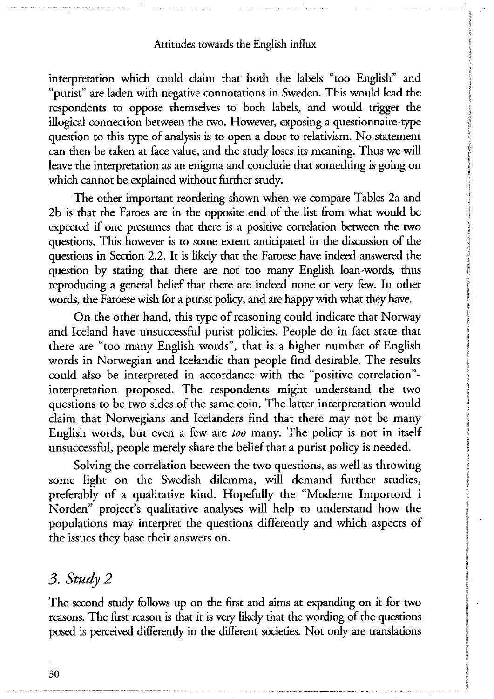interpretation which could claim that both the labels "too English" and "purist" are laden with negative connotations in Sweden. This would lead the respondents to oppose themselves to both labels, and would trigger the illogical connection between the two. However, exposing a questionnaire-type question to this type of analysis is to open a door to relativism. No statement can then be taken at face value, and the study loses its meaning. Thus we will leave the interpretation as an enigma and conclude that something is going on which cannot be explained without further study.

The other important reordering shown when we compare Tables 2a and 2b is that the Faroes are in the opposite end of the list from what would be expected if one presumes that there is a positive correlation between the two questions. This however is to some extent anticipated in the discussion of the questions in Section 2.2. It is likely that the Faroese have indeed answered the question by stating that there are not too many English loan-words, thus reproducing a general belief that there are indeed none or very few. In other words, the Faroese wish for a purist policy, and are happy with what they have.

On the other hand, this type of reasoning could indicate that Norway and Iceland have unsuccessful purist policies. People do in fact state that there are "too many English words", that is a higher number of English words in Norwegian and Icelandic than people find desirable. The results could also be interpreted in accordance with the "positive correlation" interpretation proposed. The respondents might understand the two questions to be two sides of the same coin. The latter interpretation would claim that Norwegians and Icelanders find that there may not be many English words, but even a few are *too* many. The policy is not in itself unsuccessful, people merely share the belief that a purist policy is needed.

Solving the correlation between the two questions, as well as throwing some light on the Swedish dilemma, will demand further studies, preferably of a qualitative kind. Hopefully the "Moderne Importord i Norden" project's qualitative analyses will help to understand how the populations may interpret the questions differently and which aspects of the issues they base their answers on.

# *3. Study 2*

The second study follows up on the first and aims at expanding on it for two reasons. The first reason is that it is very likely that the wording of the questions posed is perceived differendy in the different societies. Not only are translations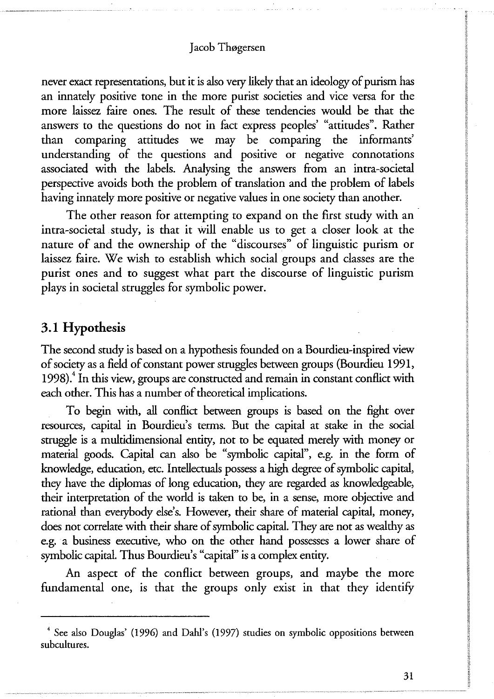never exact representations, but it is also very likely that an ideology of purism has an innately positive tone in the more purist societies and vice versa for the more laissez faire ones. The result of these tendencies would be that the answers to the questions do not in fact express peoples' "attitudes". Rather than comparing attitudes we may be comparing the informants' understanding of the questions and positive or negative connotations associated with the labels. Analysing the answers from an intra-societal perspective avoids both the problem of translation and the problem of labels having innately more positive or negative values in one society than another.

The other reason for attempting to expand on the first study with an intra-societal study, is that it will enable us to get a closer look at the nature of and the ownership of the "discourses" of linguistic purism or laissez faire. We wish to establish which social groups and classes are the purist ones and to suggest what part the discourse of linguistic purism plays in societal struggles for symbolic power.

## **3.1 Hypothesis**

The second study is based on a hypothesis founded on a Bourdieu-inspired view of society as a field of constant power struggles between groups (Bourdieu 1991, 1998).<sup>4</sup> In this view, groups are constructed and remain in constant conflict with each other. This has a number of theoretical implications.

To begin with, all conflict between groups is based on the fight over resources, capital in Bourdieu's terms. But the capital at stake in the social struggle is a multidimensional entity, not to be equated merely with money or material goods. Capital can also be "symbolic capital", e.g. in the form of knowledge, education, etc. Intellectuals possess a high degree of symbolic capital, they have the diplomas of long education, they are regarded as knowledgeable, their interpretation of the world is taken to be, in a sense, more objective and rational than everybody else's. However, their share of material capital, money, does not correlate with their share of symbolic capital. They are not as wealthy as e.g. a business executive, who on the other hand possesses a lower share of symbolic capital. Thus Bourdieu's "capital" is a complex entity.

An aspect of the conflict between groups, and maybe the more fundamental one, is that the groups only exist in that they identify

**<sup>4</sup> See also Douglas' (1996) and Dahl's (1997) studies on symbolic oppositions berween subcultures.**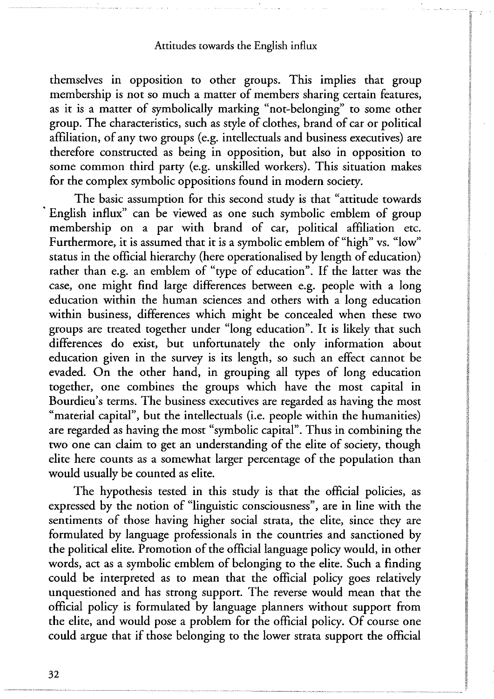themselves in opposition to other groups. This implies that group membership is not so much a matter of members sharing certain features, as it is a matter of symbolically marking "not-belonging" to some other group. The characteristics, such as style of clothes, brand of car or political affiliation, of any two groups (e.g. intellectuals and business executives) are therefore constructed as being in opposition, but also in opposition to some common third party (e.g. unskilled workers). This situation makes for the complex symbolic oppositions found in modern society.

The basic assumption for this second study is that "attitude towards English influx" can be viewed as one such symbolic emblem of group membership on a par with brand of car, political affiliation etc. Furthermore, it is assumed that it is a symbolic emblem of "high" vs. "low" status in the official hierarchy (here operationalised by length of education) rather than e.g. an emblem of "type of education". If the latter was the case, one might find large differences between e.g. people with a long education within the human sciences and others with a long education within business, differences which might be concealed when these two groups are treated together under "long education". It is likely that such differences do exist, but unfortunately the only information about education given in the survey is its length, so such an effect cannot be evaded. On the other hand, in grouping all types of long education together, one combines the groups which have the most capital in Bourdieu's terms. The business executives are regarded as having the most "material capital", but the intellectuals (i.e. people within the humanities) are regarded as having the most "symbolic capital". Thus in combining the two one can claim to get an understanding of the elite of society, though elite here counts as a somewhat larger percentage of the population than would usually be counted as elite.

The hypothesis tested in this study is that the official policies, as expressed by the notion of "linguistic consciousness", are in line with the sentiments of those having higher social strata, the elite, since they are formulated by language professionals in the countries and sanctioned by the political elite. Promotion of the official language policy would, in other words, act as a symbolic emblem of belonging to the elite. Such a finding could be interpreted as to mean that the official policy goes relatively unquestioned and has strong support. The reverse would mean that the official policy is formulated by language planners without support from the elite, and would pose a problem for the official policy. Of course one could argue that if those belonging to the lower strata support the official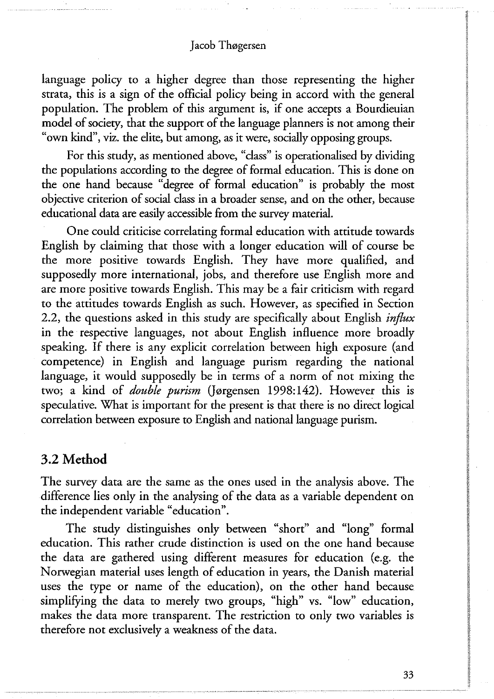language policy to a higher degree than those representing the higher strata, this is a sign of the official policy being in accord with the general population. The problem of this argument is, if one accepts a Bourdieuian model of society, that the support of the language planners is not among their "own kind", viz. the elite, but among, as it were, socially opposing groups.

For this study, as mentioned above, "class" is operationalised by dividing the populations according to the degree of formal education. This is done on the one hand because "degree of formal education" is probably the most objective criterion of social class in a broader sense, and on the other, because educational data are easily accessible from the survey material.

One could criticise correlating formal education with attitude towards English by claiming that those with a longer education will of course be the more positive towards English. They have more qualified, and supposedly more international, jobs, and therefore use English more and are more positive towards English. This may be a fair criticism with regard to the attitudes towards English as such. However, as specified in Section 2.2, the questions asked in this study are specifically about English *influx*  in the respective languages, not about English influence more broadly speaking. If there is any explicit correlation between high exposure (and competence) in English and language purism regarding the national language, it would supposedly be in terms of a norm of not mixing the two; a kind of *double purism* (Jørgensen 1998:142). However this is speculative. What is important for the present is that there is no direct logical correlation between exposure to English and national language purism.

## **3.2 Metho d**

The survey data are the same as the ones used in the analysis above. The difference lies only in the analysing of the data as a variable dependent on the independent variable "education".

The study distinguishes only between "short" and "long" formal education. This rather crude distinction is used on the one hand because the data are gathered using different measures for education (e.g. the Norwegian material uses length of education in years, the Danish material uses the type or name of the education), on the other hand because simplifying the data to merely two groups, "high" vs. "low" education, makes the data more transparent. The restriction to only two variables is therefore not exclusively a weakness of the data.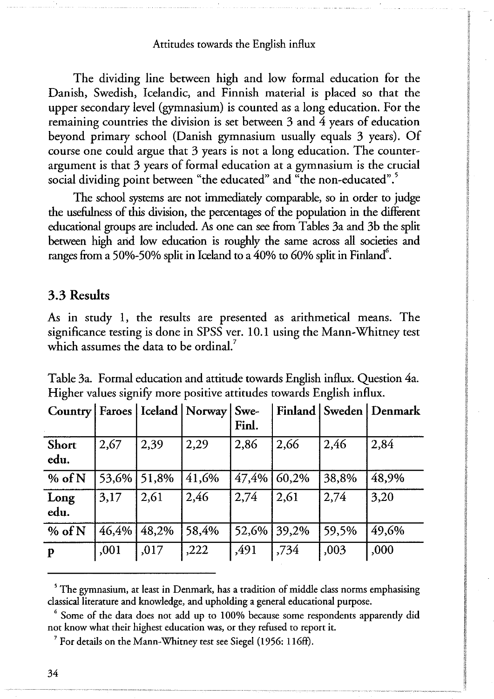The dividing line between high and low formal education for the Danish, Swedish, Icelandic, and Finnish material is placed so that the upper secondary level (gymnasium) is counted as a long education. For the remaining countries the division is set between 3 and 4 years of education beyond primary school (Danish gymnasium usually equals 3 years). Of course one could argue that 3 years is not a long education. The counterargument is that 3 years of formal education at a gymnasium is the crucial social dividing point between "the educated" and "the non-educated".<sup>5</sup>

The school systems are not immediately comparable, so in order to judge the usefulness of this division, the percentages of the population in the different educational groups are included. As one can see from Tables 3a and 3b the split between high and low education is roughly the same across all societies and ranges from a 50%-50% split in Iceland to a 40% to 60% split in Finland $\degree$ .

## **3.3 Results**

As in study 1, the results are presented as arithmetical means. The significance testing is done in SPSS ver. 10.1 using the Mann-Whitney test which assumes the data to be ordinal.<sup>7</sup>

| Country   Faroes   Iceland   Norway   Swe- |       |       |       | Finl.       |       |       | Finland   Sweden   Denmark |
|--------------------------------------------|-------|-------|-------|-------------|-------|-------|----------------------------|
| Short<br>edu.                              | 2,67  | 2,39  | 2,29  | 2,86        | 2,66  | 2,46  | 2,84                       |
| $%$ of N                                   | 53,6% | 51,8% | 41,6% | 47,4%       | 60,2% | 38,8% | 48,9%                      |
| Long<br>edu.                               | 3,17  | 2,61  | 2,46  | 2,74        | 2,61  | 2,74  | 3,20                       |
| % of N                                     | 46,4% | 48,2% | 58,4% | 52,6% 39,2% |       | 59,5% | 49,6%                      |
| $\mathbf{p}$                               | ,001  | ,017  | ,222  | ,491        | ,734  | ,003  | ,000                       |

Table 3a. Formal education and attitude towards English influx. Question 4a. Higher values signify more positive attitudes towards English influx.

**<sup>5</sup> The gymnasium, at least in Denmark, has a tradition of middle class norms emphasising classical literature and knowledge, and upholding a general educational purpose.** 

**<sup>&#</sup>x27; Some of the data does not add up to 100% because some respondents apparently did not know what their highesr education was, or they refused to report it.** 

**<sup>7</sup> For details on the Mann-Whitney test see Siegel (1956: 116ff).**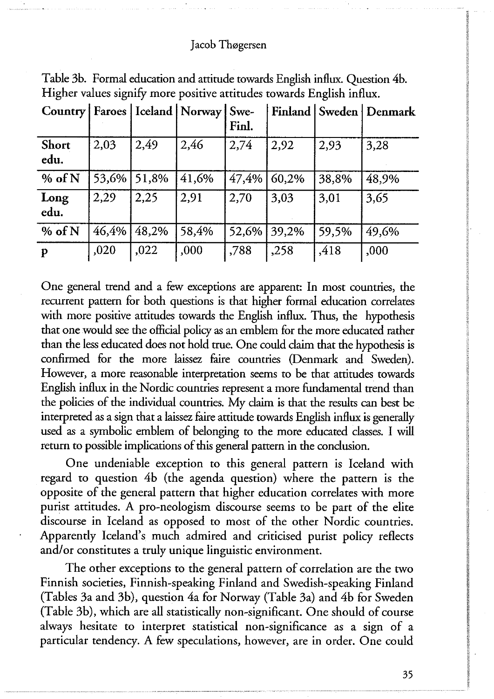|               |       |       | Country   Faroes   Iceland   Norway   Swe- | Finl. |       |       | Finland   Sweden   Denmark |
|---------------|-------|-------|--------------------------------------------|-------|-------|-------|----------------------------|
| Short<br>edu. | 2,03  | 2,49  | 2.46                                       | 2,74  | 2,92  | 2,93  | 3,28                       |
| % of N        | 53,6% | 51,8% | 41,6%                                      | 47,4% | 60,2% | 38,8% | 48,9%                      |
| Long<br>edu.  | 2,29  | 2,25  | 2,91                                       | 2,70  | 3,03  | 3,01  | 3,65                       |
| $%$ of N      | 46,4% | 48,2% | 58,4%                                      | 52,6% | 39,2% | 59,5% | 49,6%                      |
| $\mathbf{p}$  | ,020  | ,022  | ,000                                       | ,788  | ,258  | ,418  | ,000                       |

Table 3b. Formal education and attitude towards English influx. Question 4b. Higher values signify more positive attitudes towards English influx.

One general trend and a few exceptions are apparent: In most countries, the recurrent pattern for both questions is that higher formal education correlates with more positive attitudes towards the English influx. Thus, the hypothesis that one would see the official policy as an emblem for the more educated rather than the less educated does not hold true. One could claim that the hypothesis is confirmed for the more laissez faire countries (Denmark and Sweden). However, a more reasonable interpretation seems to be that attitudes towards English influx in the Nordic countries represent a more fundamental trend than the policies of the individual countries. My claim is that the results can best be interpreted as a sign that a laissez faire attitude towards English influx is generally used as a symbolic emblem of belonging to the more educated classes. I will return to possible implications of this general pattern in the conclusion.

One undeniable exception to this general pattern is Iceland with regard to question 4b (the agenda question) where the pattern is the opposite of the general pattern that higher education correlates with more purist attitudes. A pro-neologism discourse seems to be part of the elite discourse in Iceland as opposed to most of the other Nordic countries. Apparently Iceland's much admired and criticised purist policy reflects and/or constitutes a truly unique linguistic environment.

The other exceptions to the general pattern of correlation are the two Finnish societies, Finnish-speaking Finland and Swedish-speaking Finland (Tables 3a and 3b), question 4a for Norway (Table 3a) and 4b for Sweden (Table 3b), which are all statistically non-significant. One should of course always hesitate to interpret statistical non-significance as a sign of a particular tendency. A few speculations, however, are in order. One could

**35**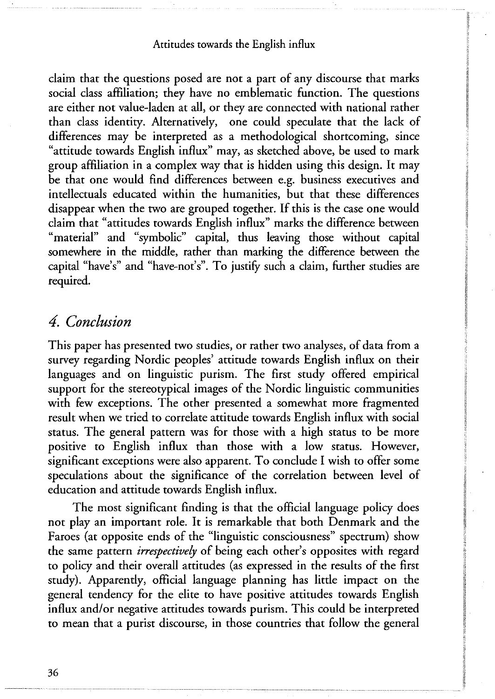claim that the questions posed are not a part of any discourse that marks social class affiliation; they have no emblematic function. The questions are either not value-laden at all, or they are connected with national rather than class identity. Alternatively, one could speculate that the lack of differences may be interpreted as a methodological shortcoming, since "attitude towards English influx" may, as sketched above, be used to mark group affiliation in a complex way that is hidden using this design. It may be that one would find differences between e.g. business executives and intellectuals educated within the humanities, but that these differences disappear when the two are grouped together. If this is the case one would claim that "attitudes towards English influx" marks the difference between "material" and "symbolic" capital, thus leaving those without capital somewhere in the middle, rather than marking the difference between the capital "have's" and "have-not's". To justify such a claim, further studies are required.

## *4. Conclusion*

This paper has presented two studies, or rather two analyses, of data from a survey regarding Nordic peoples' attitude towards English influx on their languages and on linguistic purism. The first study offered empirical support for the stereotypical images of the Nordic linguistic communities with few exceptions. The other presented a somewhat more fragmented result when we tried to correlate attitude towards English influx with social status. The general pattern was for those with a high status to be more positive to English influx than those with a low status. However, significant exceptions were also apparent. To conclude I wish to offer some speculations about the significance of the correlation between level of education and attitude towards English influx.

The most significant finding is that the official language policy does not play an important role. It is remarkable that both Denmark and the Faroes (at opposite ends of the "linguistic consciousness" spectrum) show the same pattern *irrespectively* of being each other's opposites with regard to policy and their overall attitudes (as expressed in the results of the first study). Apparently, official language planning has little impact on the general tendency for the elite to have positive attitudes towards English influx and/or negative attitudes towards purism. This could be interpreted to mean that a purist discourse, in those countries that follow the general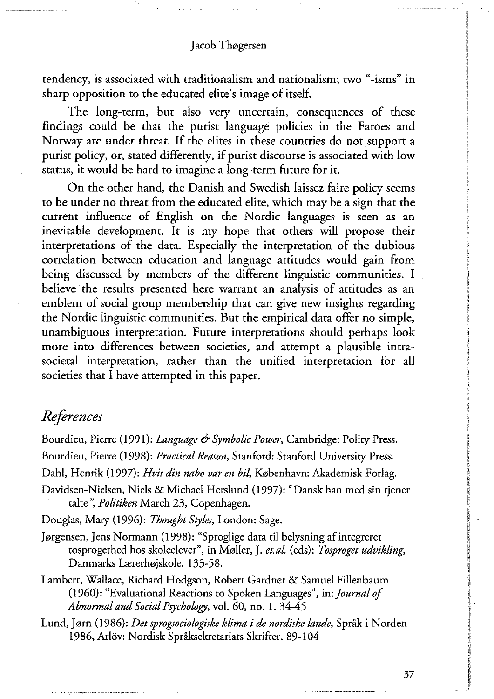tendency, is associated with traditionalism and nationalism; two "-isms" in sharp opposition to the educated elite's image of itself.

The long-term, but also very uncertain, consequences of these findings could be that the purist language policies in the Faroes and Norway are under threat. If the elites in these countries do not support a purist policy, or, stated differently, if purist discourse is associated with low status, it would be hard to imagine a long-term future for it.

On the other hand, the Danish and Swedish laissez faire policy seems to be under no threat from the educated elite, which may be a sign that the current influence of English on the Nordic languages is seen as an inevitable development. It is my hope that others will propose their interpretations of the data. Especially the interpretation of the dubious correlation between education and language attitudes would gain from being discussed by members of the different linguistic communities. I believe the results presented here warrant an analysis of attitudes as an emblem of social group membership that can give new insights regarding the Nordic linguistic communities. But the empirical data offer no simple, unambiguous interpretation. Future interpretations should perhaps look more into differences between societies, and attempt a plausible intrasocietal interpretation, rather than the unified interpretation for all societies that I have attempted in this paper.

# *References*

Bourdieu, Pierre (1991): *Language & Symbolic Power,* Cambridge: Polity Press. Bourdieu, Pierre (1998): *Practical Reason,* Stanford: Stanford University Press.

Dahl, Henrik (1997): *Hvis din nabo var en bil,* København: Akademisk Forlag.

Davidsen-Nielsen, Niels & Michael Herslund (1997): "Dansk han med sin tjener talte ", *Politiken* March 23, Copenhagen.

Douglas, Mary (1996): *Thought Styles,* London: Sage.

- Jørgensen, Jens Normann (1998): "Sproglige data til belysning af integreret tosprogethed hos skoleelever", in Møller, J. *et.al.* (eds): *Tosproget udvikling,*  Danmarks Lærerhøjskole. 133-58.
- Lambert, Wallace, Richard Hodgson, Robert Gardner & Samuel Fillenbaum (1960): "Evaluational Reactions to Spoken Languages", in: *Journalof Abnormal and Social Psychology,* vol. 60, no. 1. 34-45

Lund, Jørn (1986): *Det sprogsociologiske klima i de nordiske lande,* Språk i Norden 1986, Arlöv: Nordisk Språksekretariats Skrifter. 89-104